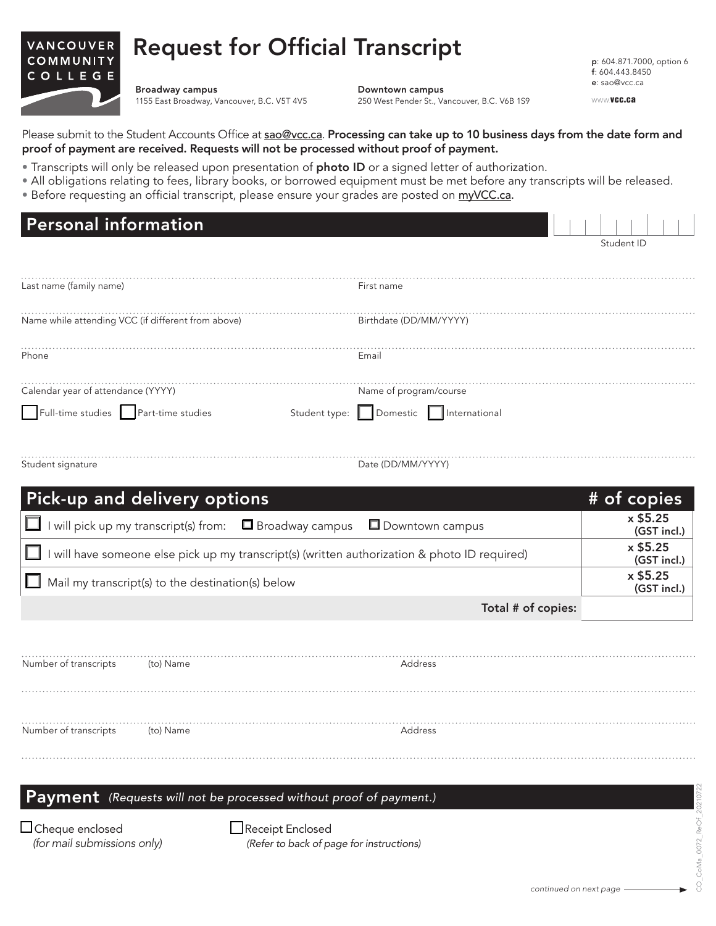## Request for Official Transcript VANCOUVER COMMUNITY

Broadway campus 1155 East Broadway, Vancouver, B.C. V5T 4V5

COLLEGE

Downtown campus 250 West Pender St., Vancouver, B.C. V6B 1S9

p: 604.871.7000, option 6 f: 604.443.8450 e: sao@vcc.ca

WWW.vcc.ca

Please submit to the Student Accounts Office at sao@vcc.ca. Processing can take up to 10 business days from the date form and proof of payment are received. Requests will not be processed without proof of payment.

- Transcripts will only be released upon presentation of photo ID or a signed letter of authorization.
- All obligations relating to fees, library books, or borrowed equipment must be met before any transcripts will be released.
- Before requesting an official transcript, please ensure your grades are posted on myVCC.ca.

| <b>Personal information</b>                                                                                                                     |  |             |             |
|-------------------------------------------------------------------------------------------------------------------------------------------------|--|-------------|-------------|
|                                                                                                                                                 |  | Student ID  |             |
| Last name (family name)<br>First name                                                                                                           |  |             |             |
| Name while attending VCC (if different from above)<br>Birthdate (DD/MM/YYYY)                                                                    |  |             |             |
| Phone<br>Email                                                                                                                                  |  |             |             |
| Calendar year of attendance (YYYY)<br>Name of program/course<br>Full-time studies Part-time studies<br>Student type:   Domestic   International |  |             |             |
| Student signature<br>Date (DD/MM/YYYY)                                                                                                          |  |             |             |
| Pick-up and delivery options                                                                                                                    |  | # of copies |             |
| I will pick up my transcript(s) from: $\Box$ Broadway campus<br>Downtown campus                                                                 |  | x \$5.25    | (GST incl.) |
| I will have someone else pick up my transcript(s) (written authorization & photo ID required)                                                   |  | x \$5.25    | (GST incl.) |
| Mail my transcript(s) to the destination(s) below                                                                                               |  | x \$5.25    | (GST incl.) |
| Total # of copies:                                                                                                                              |  |             |             |
|                                                                                                                                                 |  |             |             |
| Number of transcripts<br>(to) Name<br>Address                                                                                                   |  |             |             |
| Number of transcripts<br>Address<br>(to) Name                                                                                                   |  |             |             |
| Payment (Requests will not be processed without proof of payment.)                                                                              |  |             |             |
| □ Cheque enclosed<br>Receipt Enclosed<br>(for mail submissions only)<br>(Refer to back of page for instructions)                                |  |             |             |